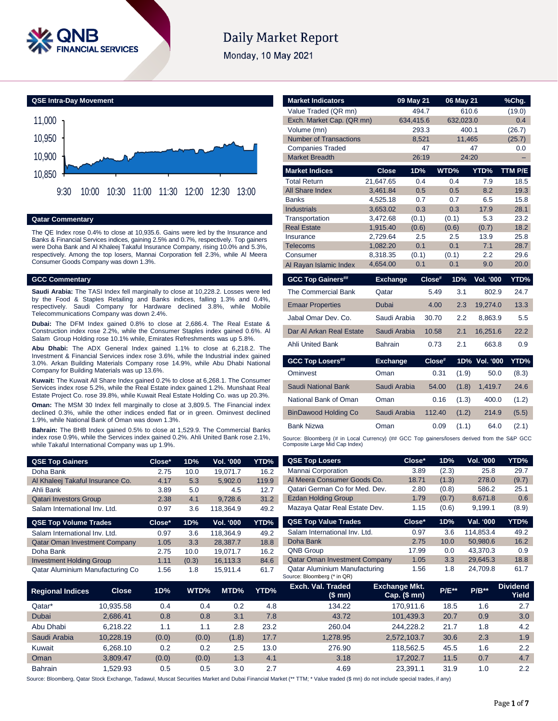

# **Daily Market Report**

Monday, 10 May 2021

**QSE Intra-Day Movement**



## **Qatar Commentary**

The QE Index rose 0.4% to close at 10,935.6. Gains were led by the Insurance and Banks & Financial Services indices, gaining 2.5% and 0.7%, respectively. Top gainers were Doha Bank and Al Khaleej Takaful Insurance Company, rising 10.0% and 5.3%, respectively. Among the top losers, Mannai Corporation fell 2.3%, while Al Meera Consumer Goods Company was down 1.3%.

## **GCC Commentary**

**Saudi Arabia:** The TASI Index fell marginally to close at 10,228.2. Losses were led by the Food & Staples Retailing and Banks indices, falling 1.3% and 0.4%, respectively. Saudi Company for Hardware declined 3.8%, while Mobile Telecommunications Company was down 2.4%.

**Dubai:** The DFM Index gained 0.8% to close at 2,686.4. The Real Estate & Construction index rose 2.2%, while the Consumer Staples index gained 0.6%. Al Salam Group Holding rose 10.1% while, Emirates Refreshments was up 5.8%.

**Abu Dhabi:** The ADX General Index gained 1.1% to close at 6,218.2. The Investment & Financial Services index rose 3.6%, while the Industrial index gained 3.0%. Arkan Building Materials Company rose 14.9%, while Abu Dhabi National Company for Building Materials was up 13.6%.

**Kuwait:** The Kuwait All Share Index gained 0.2% to close at 6,268.1. The Consumer Services index rose 5.2%, while the Real Estate index gained 1.2%. Munshaat Real Estate Project Co. rose 39.8%, while Kuwait Real Estate Holding Co. was up 20.3%.

**Oman:** The MSM 30 Index fell marginally to close at 3,809.5. The Financial index declined 0.3%, while the other indices ended flat or in green. Ominvest declined 1.9%, while National Bank of Oman was down 1.3%.

**Bahrain:** The BHB Index gained 0.5% to close at 1,529.9. The Commercial Banks index rose 0.9%, while the Services index gained 0.2%. Ahli United Bank rose 2.1%, while Takaful International Company was up 1.9%.

| <b>Market Indicators</b>                                                                    |                 | 09 May 21 |        | 06 May 21 |               | %Chg.   |
|---------------------------------------------------------------------------------------------|-----------------|-----------|--------|-----------|---------------|---------|
| Value Traded (QR mn)                                                                        |                 | 494.7     |        | 610.6     |               | (19.0)  |
| Exch. Market Cap. (QR mn)                                                                   |                 | 634,415.6 |        | 632,023.0 |               | 0.4     |
| Volume (mn)                                                                                 |                 | 293.3     |        | 400.1     |               | (26.7)  |
| <b>Number of Transactions</b>                                                               |                 | 8,521     |        | 11,465    |               | (25.7)  |
| <b>Companies Traded</b>                                                                     |                 | 47        |        |           | 47            | 0.0     |
| <b>Market Breadth</b>                                                                       |                 | 26:19     |        | 24:20     |               |         |
| <b>Market Indices</b>                                                                       | <b>Close</b>    | 1D%       |        | WTD%      | YTD%          | TTM P/E |
| <b>Total Return</b>                                                                         | 21,647.65       | 0.4       |        | 0.4       | 7.9           | 18.5    |
| <b>All Share Index</b>                                                                      | 3,461.84        | 0.5       |        | 0.5       | 8.2           | 19.3    |
| <b>Banks</b>                                                                                | 4,525.18        | 0.7       |        | 0.7       | 6.5           | 15.8    |
| <b>Industrials</b>                                                                          | 3,653.02        | 0.3       |        | 0.3       | 17.9          | 28.1    |
| Transportation                                                                              | 3,472.68        | (0.1)     |        | (0.1)     | 5.3           | 23.2    |
| <b>Real Estate</b>                                                                          | 1,915.40        | (0.6)     |        | (0.6)     | (0.7)         | 18.2    |
| Insurance                                                                                   | 2.729.64        | 2.5       |        | 2.5       | 13.9          | 25.8    |
| <b>Telecoms</b>                                                                             | 1,082.20        | 0.1       |        | 0.1       | 7.1           | 28.7    |
| Consumer                                                                                    | 8,318.35        | (0.1)     |        | (0.1)     | 2.2           | 29.6    |
| Al Rayan Islamic Index                                                                      | 4,654.00        | 0.1       |        | 0.1       | 9.0           | 20.0    |
| <b>GCC Top Gainers##</b>                                                                    | <b>Exchange</b> |           | Close# | 1D%       | Vol. '000     | YTD%    |
| The Commercial Bank                                                                         | Qatar           |           | 5.49   | 3.1       | 802.9         | 24.7    |
| <b>Emaar Properties</b>                                                                     | Dubai           |           | 4.00   | 2.3       | 19,274.0      | 13.3    |
| Jabal Omar Dev. Co.                                                                         | Saudi Arabia    |           | 30.70  | 2.2       | 8,863.9       | 5.5     |
| Dar Al Arkan Real Estate                                                                    | Saudi Arabia    |           | 10.58  | 2.1       | 16,251.6      | 22.2    |
| Ahli United Bank                                                                            | <b>Bahrain</b>  |           | 0.73   | 2.1       | 663.8         | 0.9     |
| <b>GCC Top Losers##</b>                                                                     | <b>Exchange</b> |           | Close# |           | 1D% Vol. '000 | YTD%    |
| Ominvest                                                                                    | Oman            |           | 0.31   | (1.9)     | 50.0          | (8.3)   |
| <b>Saudi National Bank</b>                                                                  | Saudi Arabia    |           | 54.00  | (1.8)     | 1,419.7       | 24.6    |
| National Bank of Oman                                                                       | Oman            |           | 0.16   | (1.3)     | 400.0         | (1.2)   |
| <b>BinDawood Holding Co</b>                                                                 | Saudi Arabia    |           | 112.40 | (1.2)     | 214.9         | (5.5)   |
| <b>Bank Nizwa</b>                                                                           | Oman            |           | 0.09   | (1.1)     | 64.0          | (2.1)   |
| Source: Bloomberg (# in Local Currency) (## GCC Top gainers/losers derived from the S&P GCC |                 |           |        |           |               |         |

Composite Large Mid Cap Index)

| QSE Top Gainers                      | Close* | 1D%   | Vol. '000 | YTD%  | <b>QSE Top Losers</b>                                        | Close*       | 1D%   | Vol. '000 | <b>YTD%</b>     |
|--------------------------------------|--------|-------|-----------|-------|--------------------------------------------------------------|--------------|-------|-----------|-----------------|
| Doha Bank                            | 2.75   | 10.0  | 19.071.7  | 16.2  | Mannai Corporation                                           | 3.89         | (2.3) | 25.8      | 29.7            |
| Al Khaleej Takaful Insurance Co.     | 4.17   | 5.3   | 5.902.0   | 119.9 | Al Meera Consumer Goods Co.                                  | 18.71        | (1.3) | 278.0     | (9.7)           |
| Ahli Bank                            | 3.89   | 5.0   | 4.5       | 12.7  | Qatari German Co for Med. Dev.                               | 2.80         | (0.8) | 586.2     | 25.1            |
| <b>Qatari Investors Group</b>        | 2.38   | 4.1   | 9.728.6   | 31.2  | <b>Ezdan Holding Group</b>                                   | 1.79         | (0.7) | 8,671.8   | 0.6             |
| Salam International Inv. Ltd.        | 0.97   | 3.6   | 118.364.9 | 49.2  | Mazaya Qatar Real Estate Dev.                                | 1.15         | (0.6) | 9,199.1   | (8.9)           |
| <b>QSE Top Volume Trades</b>         | Close* | 1D%   | Vol. '000 | YTD%  | <b>QSE Top Value Trades</b>                                  | Close*       | 1D%   | Val. '000 | <b>YTD%</b>     |
| Salam International Inv. Ltd.        | 0.97   | 3.6   | 118.364.9 | 49.2  | Salam International Inv. Ltd.                                | 0.97         | 3.6   | 114.853.4 | 49.2            |
| <b>Qatar Oman Investment Company</b> | 1.05   | 3.3   | 28.387.7  | 18.8  | Doha Bank                                                    | 2.75         | 10.0  | 50.980.6  | 16.2            |
| Doha Bank                            | 2.75   | 10.0  | 19.071.7  | 16.2  | <b>QNB Group</b>                                             | 17.99        | 0.0   | 43,370.3  | 0.9             |
| <b>Investment Holding Group</b>      | 1.11   | (0.3) | 16.113.3  | 84.6  | <b>Qatar Oman Investment Company</b>                         | 1.05         | 3.3   | 29.645.3  | 18.8            |
| Qatar Aluminium Manufacturing Co     | 1.56   | 1.8   | 15,911.4  | 61.7  | Qatar Aluminium Manufacturing<br>Source: Bloomberg (* in QR) | 1.56         | 1.8   | 24.709.8  | 61.7            |
|                                      |        |       |           |       | Evalue Val Teached                                           | Evahanan Mid |       |           | <b>Dividend</b> |

| <b>Regional Indices</b> | Close <sub>1</sub> | 1D%   | WTD%  | MTD%  | YTD% | Exch. Val. Traded<br>(\$mn) | <b>Exchange Mkt.</b><br>Cap. $($$ mn $)$ | <b>P/E**</b> | $P/B**$ | <b>Dividend</b><br>Yield |
|-------------------------|--------------------|-------|-------|-------|------|-----------------------------|------------------------------------------|--------------|---------|--------------------------|
| Qatar*                  | 10.935.58          | 0.4   | 0.4   | 0.2   | 4.8  | 134.22                      | 170.911.6                                | 18.5         | 1.6     | 2.7                      |
| Dubai                   | 2.686.41           | 0.8   | 0.8   | 3.1   | 7.8  | 43.72                       | 101.439.3                                | 20.7         | 0.9     | 3.0                      |
| Abu Dhabi               | 6.218.22           | 1.1   | 1.1   | 2.8   | 23.2 | 260.04                      | 244.228.2                                | 21.7         | 1.8     | 4.2                      |
| Saudi Arabia            | 10.228.19          | (0.0) | (0.0) | (1.8) | 17.7 | 1.278.95                    | 2.572.103.7                              | 30.6         | 2.3     | 1.9                      |
| Kuwait                  | 6.268.10           | 0.2   | 0.2   | 2.5   | 13.0 | 276.90                      | 118.562.5                                | 45.5         | 1.6     | 2.2                      |
| Oman                    | 3.809.47           | (0.0) | (0.0) | 1.3   | 4.1  | 3.18                        | 17.202.7                                 | 11.5         | 0.7     | 4.7                      |
| <b>Bahrain</b>          | .529.93            | 0.5   | 0.5   | 3.0   | 2.7  | 4.69                        | 23.391.1                                 | 31.9         | 1.0     | 2.2                      |

Source: Bloomberg, Qatar Stock Exchange, Tadawul, Muscat Securities Market and Dubai Financial Market (\*\* TTM; \* Value traded (\$ mn) do not include special trades, if any)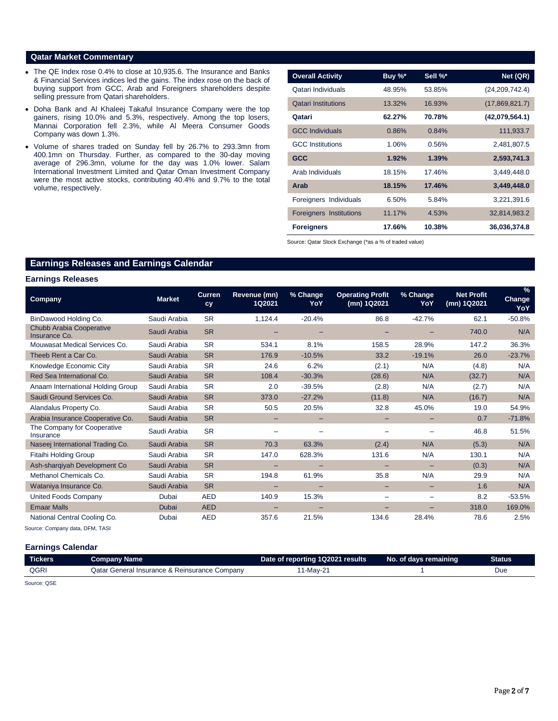## **Qatar Market Commentary**

- The QE Index rose 0.4% to close at 10,935.6. The Insurance and Banks & Financial Services indices led the gains. The index rose on the back of buying support from GCC, Arab and Foreigners shareholders despite selling pressure from Qatari shareholders.
- Doha Bank and Al Khaleej Takaful Insurance Company were the top gainers, rising 10.0% and 5.3%, respectively. Among the top losers, Mannai Corporation fell 2.3%, while Al Meera Consumer Goods Company was down 1.3%.
- Volume of shares traded on Sunday fell by 26.7% to 293.3mn from 400.1mn on Thursday. Further, as compared to the 30-day moving average of 296.3mn, volume for the day was 1.0% lower. Salam International Investment Limited and Qatar Oman Investment Company were the most active stocks, contributing 40.4% and 9.7% to the total volume, respectively.

| <b>Overall Activity</b>    | Buy %* | Sell %* | Net (QR)         |
|----------------------------|--------|---------|------------------|
| Qatari Individuals         | 48.95% | 53.85%  | (24, 209, 742.4) |
| <b>Qatari Institutions</b> | 13.32% | 16.93%  | (17,869,821.7)   |
| Qatari                     | 62.27% | 70.78%  | (42,079,564.1)   |
| <b>GCC Individuals</b>     | 0.86%  | 0.84%   | 111,933.7        |
| <b>GCC</b> Institutions    | 1.06%  | 0.56%   | 2,481,807.5      |
| <b>GCC</b>                 | 1.92%  | 1.39%   | 2,593,741.3      |
| Arab Individuals           | 18.15% | 17.46%  | 3,449,448.0      |
| Arab                       | 18.15% | 17.46%  | 3,449,448.0      |
| Foreigners Individuals     | 6.50%  | 5.84%   | 3,221,391.6      |
| Foreigners Institutions    | 11.17% | 4.53%   | 32,814,983.2     |
| <b>Foreigners</b>          | 17.66% | 10.38%  | 36,036,374.8     |

Source: Qatar Stock Exchange (\*as a % of traded value)

## **Earnings Releases and Earnings Calendar**

## **Earnings Releases**

| <b>Company</b>                            | <b>Market</b> | <b>Curren</b><br>cy | Revenue (mn)<br>1Q2021 | % Change<br>YoY   | <b>Operating Profit</b><br>(mn) 1Q2021 | % Change<br>YoY          | <b>Net Profit</b><br>(mn) 1Q2021 | $\frac{9}{6}$<br><b>Change</b><br>YoY |
|-------------------------------------------|---------------|---------------------|------------------------|-------------------|----------------------------------------|--------------------------|----------------------------------|---------------------------------------|
| BinDawood Holding Co.                     | Saudi Arabia  | <b>SR</b>           | 1,124.4                | $-20.4%$          | 86.8                                   | $-42.7%$                 | 62.1                             | $-50.8%$                              |
| Chubb Arabia Cooperative<br>Insurance Co. | Saudi Arabia  | <b>SR</b>           |                        |                   |                                        |                          | 740.0                            | N/A                                   |
| Mouwasat Medical Services Co.             | Saudi Arabia  | <b>SR</b>           | 534.1                  | 8.1%              | 158.5                                  | 28.9%                    | 147.2                            | 36.3%                                 |
| Theeb Rent a Car Co.                      | Saudi Arabia  | <b>SR</b>           | 176.9                  | $-10.5%$          | 33.2                                   | $-19.1%$                 | 26.0                             | $-23.7%$                              |
| Knowledge Economic City                   | Saudi Arabia  | <b>SR</b>           | 24.6                   | 6.2%              | (2.1)                                  | N/A                      | (4.8)                            | N/A                                   |
| Red Sea International Co.                 | Saudi Arabia  | <b>SR</b>           | 108.4                  | $-30.3%$          | (28.6)                                 | N/A                      | (32.7)                           | N/A                                   |
| Anaam International Holding Group         | Saudi Arabia  | <b>SR</b>           | 2.0                    | $-39.5%$          | (2.8)                                  | N/A                      | (2.7)                            | N/A                                   |
| Saudi Ground Services Co.                 | Saudi Arabia  | <b>SR</b>           | 373.0                  | $-27.2%$          | (11.8)                                 | N/A                      | (16.7)                           | N/A                                   |
| Alandalus Property Co.                    | Saudi Arabia  | <b>SR</b>           | 50.5                   | 20.5%             | 32.8                                   | 45.0%                    | 19.0                             | 54.9%                                 |
| Arabia Insurance Cooperative Co.          | Saudi Arabia  | <b>SR</b>           |                        |                   |                                        |                          | 0.7                              | $-71.8%$                              |
| The Company for Cooperative<br>Insurance  | Saudi Arabia  | <b>SR</b>           |                        |                   |                                        |                          | 46.8                             | 51.5%                                 |
| Naseej International Trading Co.          | Saudi Arabia  | <b>SR</b>           | 70.3                   | 63.3%             | (2.4)                                  | N/A                      | (5.3)                            | N/A                                   |
| <b>Fitaihi Holding Group</b>              | Saudi Arabia  | <b>SR</b>           | 147.0                  | 628.3%            | 131.6                                  | N/A                      | 130.1                            | N/A                                   |
| Ash-shargiyah Development Co              | Saudi Arabia  | <b>SR</b>           | -                      | $\qquad \qquad -$ | -                                      | $\overline{\phantom{0}}$ | (0.3)                            | N/A                                   |
| Methanol Chemicals Co.                    | Saudi Arabia  | <b>SR</b>           | 194.8                  | 61.9%             | 35.8                                   | N/A                      | 29.9                             | N/A                                   |
| Wataniya Insurance Co.                    | Saudi Arabia  | <b>SR</b>           |                        | -                 | -                                      |                          | 1.6                              | N/A                                   |
| United Foods Company                      | Dubai         | <b>AED</b>          | 140.9                  | 15.3%             | $\overline{\phantom{0}}$               |                          | 8.2                              | $-53.5%$                              |
| <b>Emaar Malls</b>                        | Dubai         | <b>AED</b>          |                        |                   |                                        |                          | 318.0                            | 169.0%                                |
| National Central Cooling Co.              | Dubai         | <b>AED</b>          | 357.6                  | 21.5%             | 134.6                                  | 28.4%                    | 78.6                             | 2.5%                                  |

Source: Company data, DFM, TASI

## **Earnings Calendar**

| QGRI<br>Qatar General Insurance & Reinsurance Company<br>11-May-21 | <b>Tickers</b> | <b>Company Name</b> | Date of reporting 1Q2021 results | No. of days remaining | <b>Status</b> |
|--------------------------------------------------------------------|----------------|---------------------|----------------------------------|-----------------------|---------------|
|                                                                    |                |                     |                                  |                       |               |

Source: QSE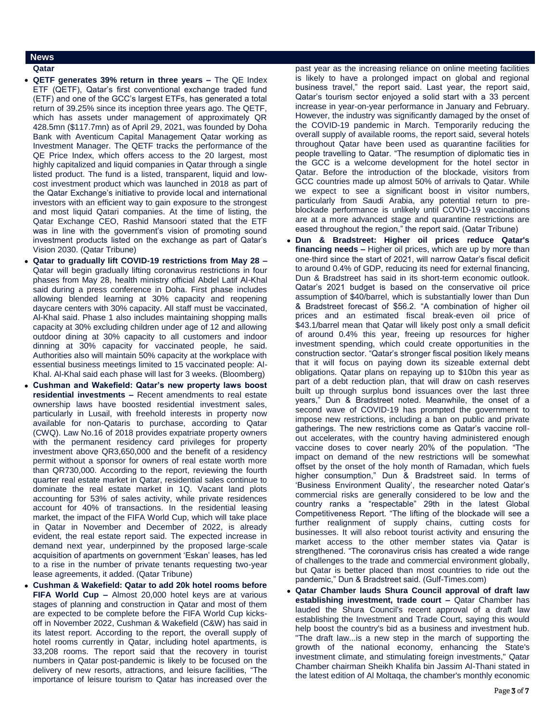## **News**

- **Qatar**
- **QETF generates 39% return in three years –** The QE Index ETF (QETF), Qatar's first conventional exchange traded fund (ETF) and one of the GCC's largest ETFs, has generated a total return of 39.25% since its inception three years ago. The QETF, which has assets under management of approximately QR 428.5mn (\$117.7mn) as of April 29, 2021, was founded by Doha Bank with Aventicum Capital Management Qatar working as Investment Manager. The QETF tracks the performance of the QE Price Index, which offers access to the 20 largest, most highly capitalized and liquid companies in Qatar through a single listed product. The fund is a listed, transparent, liquid and lowcost investment product which was launched in 2018 as part of the Qatar Exchange's initiative to provide local and international investors with an efficient way to gain exposure to the strongest and most liquid Qatari companies. At the time of listing, the Qatar Exchange CEO, Rashid Mansoori stated that the ETF was in line with the government's vision of promoting sound investment products listed on the exchange as part of Qatar's Vision 2030. (Qatar Tribune)
- **Qatar to gradually lift COVID-19 restrictions from May 28 –** Qatar will begin gradually lifting coronavirus restrictions in four phases from May 28, health ministry official Abdel Latif Al-Khal said during a press conference in Doha. First phase includes allowing blended learning at 30% capacity and reopening daycare centers with 30% capacity. All staff must be vaccinated, Al-Khal said. Phase 1 also includes maintaining shopping malls capacity at 30% excluding children under age of 12 and allowing outdoor dining at 30% capacity to all customers and indoor dinning at 30% capacity for vaccinated people, he said. Authorities also will maintain 50% capacity at the workplace with essential business meetings limited to 15 vaccinated people: Al-Khal. Al-Khal said each phase will last for 3 weeks. (Bloomberg)
- **Cushman and Wakefield: Qatar's new property laws boost residential investments –** Recent amendments to real estate ownership laws have boosted residential investment sales, particularly in Lusail, with freehold interests in property now available for non-Qataris to purchase, according to Qatar (CWQ). Law No.16 of 2018 provides expatriate property owners with the permanent residency card privileges for property investment above QR3,650,000 and the benefit of a residency permit without a sponsor for owners of real estate worth more than QR730,000. According to the report, reviewing the fourth quarter real estate market in Qatar, residential sales continue to dominate the real estate market in 1Q. Vacant land plots accounting for 53% of sales activity, while private residences account for 40% of transactions. In the residential leasing market, the impact of the FIFA World Cup, which will take place in Qatar in November and December of 2022, is already evident, the real estate report said. The expected increase in demand next year, underpinned by the proposed large-scale acquisition of apartments on government 'Eskan' leases, has led to a rise in the number of private tenants requesting two-year lease agreements, it added. (Qatar Tribune)
- **Cushman & Wakefield: Qatar to add 20k hotel rooms before FIFA World Cup –** Almost 20,000 hotel keys are at various stages of planning and construction in Qatar and most of them are expected to be complete before the FIFA World Cup kicksoff in November 2022, Cushman & Wakefield (C&W) has said in its latest report. According to the report, the overall supply of hotel rooms currently in Qatar, including hotel apartments, is 33,208 rooms. The report said that the recovery in tourist numbers in Qatar post-pandemic is likely to be focused on the delivery of new resorts, attractions, and leisure facilities, "The importance of leisure tourism to Qatar has increased over the

past year as the increasing reliance on online meeting facilities is likely to have a prolonged impact on global and regional business travel," the report said. Last year, the report said, Qatar's tourism sector enjoyed a solid start with a 33 percent increase in year-on-year performance in January and February. However, the industry was significantly damaged by the onset of the COVID-19 pandemic in March. Temporarily reducing the overall supply of available rooms, the report said, several hotels throughout Qatar have been used as quarantine facilities for people travelling to Qatar. "The resumption of diplomatic ties in the GCC is a welcome development for the hotel sector in Qatar. Before the introduction of the blockade, visitors from GCC countries made up almost 50% of arrivals to Qatar. While we expect to see a significant boost in visitor numbers, particularly from Saudi Arabia, any potential return to preblockade performance is unlikely until COVID-19 vaccinations are at a more advanced stage and quarantine restrictions are eased throughout the region," the report said. (Qatar Tribune)

- **Dun & Bradstreet: Higher oil prices reduce Qatar's financing needs –** Higher oil prices, which are up by more than one-third since the start of 2021, will narrow Qatar's fiscal deficit to around 0.4% of GDP, reducing its need for external financing, Dun & Bradstreet has said in its short-term economic outlook. Qatar's 2021 budget is based on the conservative oil price assumption of \$40/barrel, which is substantially lower than Dun & Bradstreet forecast of \$56.2. "A combination of higher oil prices and an estimated fiscal break-even oil price of \$43.1/barrel mean that Qatar will likely post only a small deficit of around 0.4% this year, freeing up resources for higher investment spending, which could create opportunities in the construction sector. "Qatar's stronger fiscal position likely means that it will focus on paying down its sizeable external debt obligations. Qatar plans on repaying up to \$10bn this year as part of a debt reduction plan, that will draw on cash reserves built up through surplus bond issuances over the last three years," Dun & Bradstreet noted. Meanwhile, the onset of a second wave of COVID-19 has prompted the government to impose new restrictions, including a ban on public and private gatherings. The new restrictions come as Qatar's vaccine rollout accelerates, with the country having administered enough vaccine doses to cover nearly 20% of the population. "The impact on demand of the new restrictions will be somewhat offset by the onset of the holy month of Ramadan, which fuels higher consumption," Dun & Bradstreet said. In terms of 'Business Environment Quality', the researcher noted Qatar's commercial risks are generally considered to be low and the country ranks a "respectable" 29th in the latest Global Competitiveness Report. "The lifting of the blockade will see a further realignment of supply chains, cutting costs for businesses. It will also reboot tourist activity and ensuring the market access to the other member states via Qatar is strengthened. "The coronavirus crisis has created a wide range of challenges to the trade and commercial environment globally, but Qatar is better placed than most countries to ride out the pandemic," Dun & Bradstreet said. (Gulf-Times.com)
- **Qatar Chamber lauds Shura Council approval of draft law establishing investment, trade court –** Qatar Chamber has lauded the Shura Council's recent approval of a draft law establishing the Investment and Trade Court, saying this would help boost the country's bid as a business and investment hub. "The draft law...is a new step in the march of supporting the growth of the national economy, enhancing the State's investment climate, and stimulating foreign investments," Qatar Chamber chairman Sheikh Khalifa bin Jassim Al-Thani stated in the latest edition of Al Moltaqa, the chamber's monthly economic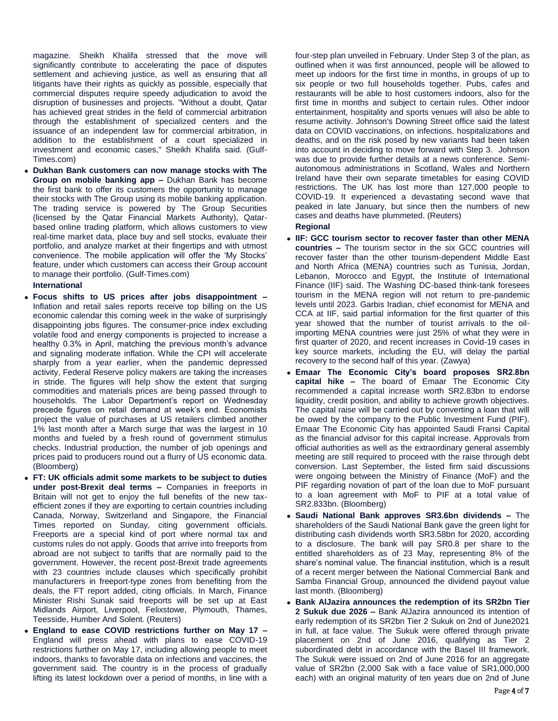magazine. Sheikh Khalifa stressed that the move will significantly contribute to accelerating the pace of disputes settlement and achieving justice, as well as ensuring that all litigants have their rights as quickly as possible, especially that commercial disputes require speedy adjudication to avoid the disruption of businesses and projects. "Without a doubt, Qatar has achieved great strides in the field of commercial arbitration through the establishment of specialized centers and the issuance of an independent law for commercial arbitration, in addition to the establishment of a court specialized in investment and economic cases," Sheikh Khalifa said. (Gulf-Times.com)

 **Dukhan Bank customers can now manage stocks with The Group on mobile banking app –** Dukhan Bank has become the first bank to offer its customers the opportunity to manage their stocks with The Group using its mobile banking application. The trading service is powered by The Group Securities (licensed by the Qatar Financial Markets Authority), Qatarbased online trading platform, which allows customers to view real-time market data, place buy and sell stocks, evaluate their portfolio, and analyze market at their fingertips and with utmost convenience. The mobile application will offer the 'My Stocks' feature, under which customers can access their Group account to manage their portfolio. (Gulf-Times.com)

## **International**

- **Focus shifts to US prices after jobs disappointment –** Inflation and retail sales reports receive top billing on the US economic calendar this coming week in the wake of surprisingly disappointing jobs figures. The consumer-price index excluding volatile food and energy components is projected to increase a healthy 0.3% in April, matching the previous month's advance and signaling moderate inflation. While the CPI will accelerate sharply from a year earlier, when the pandemic depressed activity, Federal Reserve policy makers are taking the increases in stride. The figures will help show the extent that surging commodities and materials prices are being passed through to households. The Labor Department's report on Wednesday precede figures on retail demand at week's end. Economists project the value of purchases at US retailers climbed another 1% last month after a March surge that was the largest in 10 months and fueled by a fresh round of government stimulus checks. Industrial production, the number of job openings and prices paid to producers round out a flurry of US economic data. (Bloomberg)
- **FT: UK officials admit some markets to be subject to duties under post-Brexit deal terms –** Companies in freeports in Britain will not get to enjoy the full benefits of the new taxefficient zones if they are exporting to certain countries including Canada, Norway, Switzerland and Singapore, the Financial Times reported on Sunday, citing government officials. Freeports are a special kind of port where normal tax and customs rules do not apply. Goods that arrive into freeports from abroad are not subject to tariffs that are normally paid to the government. However, the recent post-Brexit trade agreements with 23 countries include clauses which specifically prohibit manufacturers in freeport-type zones from benefiting from the deals, the FT report added, citing officials. In March, Finance Minister Rishi Sunak said freeports will be set up at East Midlands Airport, Liverpool, Felixstowe, Plymouth, Thames, Teesside, Humber And Solent. (Reuters)
- **England to ease COVID restrictions further on May 17 –** England will press ahead with plans to ease COVID-19 restrictions further on May 17, including allowing people to meet indoors, thanks to favorable data on infections and vaccines, the government said. The country is in the process of gradually lifting its latest lockdown over a period of months, in line with a

four-step plan unveiled in February. Under Step 3 of the plan, as outlined when it was first announced, people will be allowed to meet up indoors for the first time in months, in groups of up to six people or two full households together. Pubs, cafes and restaurants will be able to host customers indoors, also for the first time in months and subject to certain rules. Other indoor entertainment, hospitality and sports venues will also be able to resume activity. Johnson's Downing Street office said the latest data on COVID vaccinations, on infections, hospitalizations and deaths, and on the risk posed by new variants had been taken into account in deciding to move forward with Step 3. Johnson was due to provide further details at a news conference. Semiautonomous administrations in Scotland, Wales and Northern Ireland have their own separate timetables for easing COVID restrictions. The UK has lost more than 127,000 people to COVID-19. It experienced a devastating second wave that peaked in late January, but since then the numbers of new cases and deaths have plummeted. (Reuters) **Regional**

- **IIF: GCC tourism sector to recover faster than other MENA countries –** The tourism sector in the six GCC countries will recover faster than the other tourism-dependent Middle East and North Africa (MENA) countries such as Tunisia, Jordan, Lebanon, Morocco and Egypt, the Institute of International Finance (IIF) said. The Washing DC-based think-tank foresees tourism in the MENA region will not return to pre-pandemic levels until 2023. Garbis Iradian, chief economist for MENA and CCA at IIF, said partial information for the first quarter of this year showed that the number of tourist arrivals to the oilimporting MENA countries were just 25% of what they were in first quarter of 2020, and recent increases in Covid-19 cases in key source markets, including the EU, will delay the partial recovery to the second half of this year. (Zawya)
- **Emaar The Economic City's board proposes SR2.8bn capital hike –** The board of Emaar The Economic City recommended a capital increase worth SR2.83bn to endorse liquidity, credit position, and ability to achieve growth objectives. The capital raise will be carried out by converting a loan that will be owed by the company to the Public Investment Fund (PIF). Emaar The Economic City has appointed Saudi Fransi Capital as the financial advisor for this capital increase. Approvals from official authorities as well as the extraordinary general assembly meeting are still required to proceed with the raise through debt conversion. Last September, the listed firm said discussions were ongoing between the Ministry of Finance (MoF) and the PIF regarding novation of part of the loan due to MoF pursuant to a loan agreement with MoF to PIF at a total value of SR2.833bn. (Bloomberg)
- **Saudi National Bank approves SR3.6bn dividends –** The shareholders of the Saudi National Bank gave the green light for distributing cash dividends worth SR3.58bn for 2020, according to a disclosure. The bank will pay SR0.8 per share to the entitled shareholders as of 23 May, representing 8% of the share's nominal value. The financial institution, which is a result of a recent merger between the National Commercial Bank and Samba Financial Group, announced the dividend payout value last month. (Bloomberg)
- **Bank AlJazira announces the redemption of its SR2bn Tier 2 Sukuk due 2026 –** Bank AlJazira announced its intention of early redemption of its SR2bn Tier 2 Sukuk on 2nd of June2021 in full, at face value. The Sukuk were offered through private placement on 2nd of June 2016, qualifying as Tier 2 subordinated debt in accordance with the Basel III framework. The Sukuk were issued on 2nd of June 2016 for an aggregate value of SR2bn (2,000 Sak with a face value of SR1,000,000 each) with an original maturity of ten years due on 2nd of June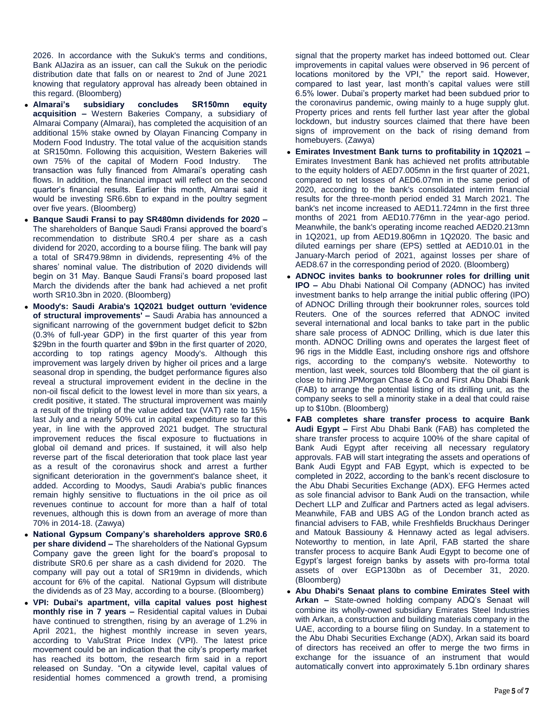2026. In accordance with the Sukuk's terms and conditions, Bank AlJazira as an issuer, can call the Sukuk on the periodic distribution date that falls on or nearest to 2nd of June 2021 knowing that regulatory approval has already been obtained in this regard. (Bloomberg)

- **Almarai's subsidiary concludes SR150mn equity acquisition –** Western Bakeries Company, a subsidiary of Almarai Company (Almarai), has completed the acquisition of an additional 15% stake owned by Olayan Financing Company in Modern Food Industry. The total value of the acquisition stands at SR150mn. Following this acquisition, Western Bakeries will own 75% of the capital of Modern Food Industry. The transaction was fully financed from Almarai's operating cash flows. In addition, the financial impact will reflect on the second quarter's financial results. Earlier this month, Almarai said it would be investing SR6.6bn to expand in the poultry segment over five years. (Bloomberg)
- **Banque Saudi Fransi to pay SR480mn dividends for 2020 –** The shareholders of Banque Saudi Fransi approved the board's recommendation to distribute SR0.4 per share as a cash dividend for 2020, according to a bourse filing. The bank will pay a total of SR479.98mn in dividends, representing 4% of the shares' nominal value. The distribution of 2020 dividends will begin on 31 May. Banque Saudi Fransi's board proposed last March the dividends after the bank had achieved a net profit worth SR10.3bn in 2020. (Bloomberg)
- **Moody's: Saudi Arabia's 1Q2021 budget outturn 'evidence of structural improvements' –** Saudi Arabia has announced a significant narrowing of the government budget deficit to \$2bn (0.3% of full-year GDP) in the first quarter of this year from \$29bn in the fourth quarter and \$9bn in the first quarter of 2020, according to top ratings agency Moody's. Although this improvement was largely driven by higher oil prices and a large seasonal drop in spending, the budget performance figures also reveal a structural improvement evident in the decline in the non-oil fiscal deficit to the lowest level in more than six years, a credit positive, it stated. The structural improvement was mainly a result of the tripling of the value added tax (VAT) rate to 15% last July and a nearly 50% cut in capital expenditure so far this year, in line with the approved 2021 budget. The structural improvement reduces the fiscal exposure to fluctuations in global oil demand and prices. If sustained, it will also help reverse part of the fiscal deterioration that took place last year as a result of the coronavirus shock and arrest a further significant deterioration in the government's balance sheet, it added. According to Moodys, Saudi Arabia's public finances remain highly sensitive to fluctuations in the oil price as oil revenues continue to account for more than a half of total revenues, although this is down from an average of more than 70% in 2014-18. (Zawya)
- **National Gypsum Company's shareholders approve SR0.6 per share dividend –** The shareholders of the National Gypsum Company gave the green light for the board's proposal to distribute SR0.6 per share as a cash dividend for 2020. The company will pay out a total of SR19mn in dividends, which account for 6% of the capital. National Gypsum will distribute the dividends as of 23 May, according to a bourse. (Bloomberg)
- **VPI: Dubai's apartment, villa capital values post highest monthly rise in 7 years –** Residential capital values in Dubai have continued to strengthen, rising by an average of 1.2% in April 2021, the highest monthly increase in seven years, according to ValuStrat Price Index (VPI). The latest price movement could be an indication that the city's property market has reached its bottom, the research firm said in a report released on Sunday. "On a citywide level, capital values of residential homes commenced a growth trend, a promising

signal that the property market has indeed bottomed out. Clear improvements in capital values were observed in 96 percent of locations monitored by the VPI," the report said. However, compared to last year, last month's capital values were still 6.5% lower. Dubai's property market had been subdued prior to the coronavirus pandemic, owing mainly to a huge supply glut. Property prices and rents fell further last year after the global lockdown, but industry sources claimed that there have been signs of improvement on the back of rising demand from homebuyers. (Zawya)

- **Emirates Investment Bank turns to profitability in 1Q2021 –** Emirates Investment Bank has achieved net profits attributable to the equity holders of AED7.005mn in the first quarter of 2021, compared to net losses of AED6.07mn in the same period of 2020, according to the bank's consolidated interim financial results for the three-month period ended 31 March 2021. The bank's net income increased to AED11.724mn in the first three months of 2021 from AED10.776mn in the year-ago period. Meanwhile, the bank's operating income reached AED20.213mn in 1Q2021, up from AED19.806mn in 1Q2020. The basic and diluted earnings per share (EPS) settled at AED10.01 in the January-March period of 2021, against losses per share of AED8.67 in the corresponding period of 2020. (Bloomberg)
- **ADNOC invites banks to bookrunner roles for drilling unit IPO –** Abu Dhabi National Oil Company (ADNOC) has invited investment banks to help arrange the initial public offering (IPO) of ADNOC Drilling through their bookrunner roles, sources told Reuters. One of the sources referred that ADNOC invited several international and local banks to take part in the public share sale process of ADNOC Drilling, which is due later this month. ADNOC Drilling owns and operates the largest fleet of 96 rigs in the Middle East, including onshore rigs and offshore rigs, according to the company's website. Noteworthy to mention, last week, sources told Bloomberg that the oil giant is close to hiring JPMorgan Chase & Co and First Abu Dhabi Bank (FAB) to arrange the potential listing of its drilling unit, as the company seeks to sell a minority stake in a deal that could raise up to \$10bn. (Bloomberg)
- **FAB completes share transfer process to acquire Bank Audi Egypt –** First Abu Dhabi Bank (FAB) has completed the share transfer process to acquire 100% of the share capital of Bank Audi Egypt after receiving all necessary regulatory approvals. FAB will start integrating the assets and operations of Bank Audi Egypt and FAB Egypt, which is expected to be completed in 2022, according to the bank's recent disclosure to the Abu Dhabi Securities Exchange (ADX). EFG Hermes acted as sole financial advisor to Bank Audi on the transaction, while Dechert LLP and Zulficar and Partners acted as legal advisers. Meanwhile, FAB and UBS AG of the London branch acted as financial advisers to FAB, while Freshfields Bruckhaus Deringer and Matouk Bassiouny & Hennawy acted as legal advisers. Noteworthy to mention, in late April, FAB started the share transfer process to acquire Bank Audi Egypt to become one of Egypt's largest foreign banks by assets with pro-forma total assets of over EGP130bn as of December 31, 2020. (Bloomberg)
- **Abu Dhabi's Senaat plans to combine Emirates Steel with Arkan –** State-owned holding company ADQ's Senaat will combine its wholly-owned subsidiary Emirates Steel Industries with Arkan, a construction and building materials company in the UAE, according to a bourse filing on Sunday. In a statement to the Abu Dhabi Securities Exchange (ADX), Arkan said its board of directors has received an offer to merge the two firms in exchange for the issuance of an instrument that would automatically convert into approximately 5.1bn ordinary shares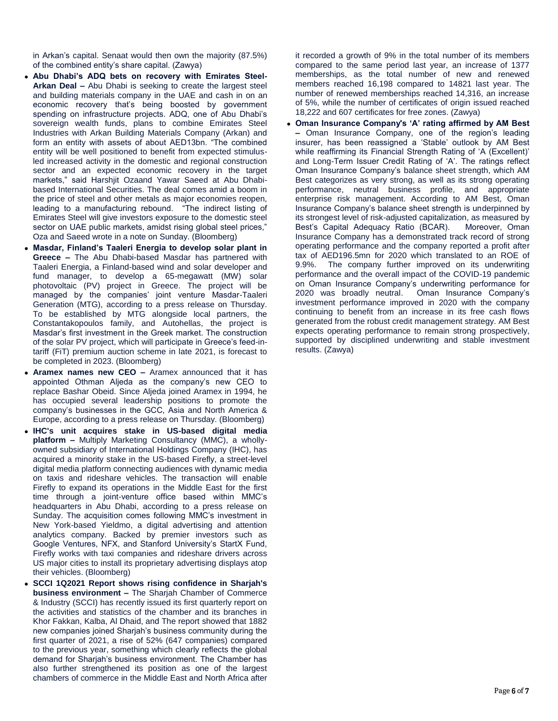in Arkan's capital. Senaat would then own the majority (87.5%) of the combined entity's share capital. (Zawya)

- **Abu Dhabi's ADQ bets on recovery with Emirates Steel-Arkan Deal –** Abu Dhabi is seeking to create the largest steel and building materials company in the UAE and cash in on an economic recovery that's being boosted by government spending on infrastructure projects. ADQ, one of Abu Dhabi's sovereign wealth funds, plans to combine Emirates Steel Industries with Arkan Building Materials Company (Arkan) and form an entity with assets of about AED13bn. "The combined entity will be well positioned to benefit from expected stimulusled increased activity in the domestic and regional construction sector and an expected economic recovery in the target markets," said Harshjit Ozaand Yawar Saeed at Abu Dhabibased International Securities. The deal comes amid a boom in the price of steel and other metals as major economies reopen, leading to a manufacturing rebound. "The indirect listing of Emirates Steel will give investors exposure to the domestic steel sector on UAE public markets, amidst rising global steel prices," Oza and Saeed wrote in a note on Sunday. (Bloomberg)
- **Masdar, Finland's Taaleri Energia to develop solar plant in Greece –** The Abu Dhabi-based Masdar has partnered with Taaleri Energia, a Finland-based wind and solar developer and fund manager, to develop a 65-megawatt (MW) solar photovoltaic (PV) project in Greece. The project will be managed by the companies' joint venture Masdar-Taaleri Generation (MTG), according to a press release on Thursday. To be established by MTG alongside local partners, the Constantakopoulos family, and Autohellas, the project is Masdar's first investment in the Greek market. The construction of the solar PV project, which will participate in Greece's feed-intariff (FiT) premium auction scheme in late 2021, is forecast to be completed in 2023. (Bloomberg)
- **Aramex names new CEO –** Aramex announced that it has appointed Othman Aljeda as the company's new CEO to replace Bashar Obeid. Since Aljeda joined Aramex in 1994, he has occupied several leadership positions to promote the company's businesses in the GCC, Asia and North America & Europe, according to a press release on Thursday. (Bloomberg)
- **IHC's unit acquires stake in US-based digital media platform –** Multiply Marketing Consultancy (MMC), a whollyowned subsidiary of International Holdings Company (IHC), has acquired a minority stake in the US-based Firefly, a street-level digital media platform connecting audiences with dynamic media on taxis and rideshare vehicles. The transaction will enable Firefly to expand its operations in the Middle East for the first time through a joint-venture office based within MMC's headquarters in Abu Dhabi, according to a press release on Sunday. The acquisition comes following MMC's investment in New York-based Yieldmo, a digital advertising and attention analytics company. Backed by premier investors such as Google Ventures, NFX, and Stanford University's StartX Fund, Firefly works with taxi companies and rideshare drivers across US major cities to install its proprietary advertising displays atop their vehicles. (Bloomberg)
- **SCCI 1Q2021 Report shows rising confidence in Sharjah's business environment –** The Sharjah Chamber of Commerce & Industry (SCCI) has recently issued its first quarterly report on the activities and statistics of the chamber and its branches in Khor Fakkan, Kalba, Al Dhaid, and The report showed that 1882 new companies joined Sharjah's business community during the first quarter of 2021, a rise of 52% (647 companies) compared to the previous year, something which clearly reflects the global demand for Sharjah's business environment. The Chamber has also further strengthened its position as one of the largest chambers of commerce in the Middle East and North Africa after

it recorded a growth of 9% in the total number of its members compared to the same period last year, an increase of 1377 memberships, as the total number of new and renewed members reached 16,198 compared to 14821 last year. The number of renewed memberships reached 14,316, an increase of 5%, while the number of certificates of origin issued reached 18,222 and 607 certificates for free zones. (Zawya)

 **Oman Insurance Company's 'A' rating affirmed by AM Best –** Oman Insurance Company, one of the region's leading insurer, has been reassigned a 'Stable' outlook by AM Best while reaffirming its Financial Strength Rating of 'A (Excellent)' and Long-Term Issuer Credit Rating of 'A'. The ratings reflect Oman Insurance Company's balance sheet strength, which AM Best categorizes as very strong, as well as its strong operating performance, neutral business profile, and appropriate enterprise risk management. According to AM Best, Oman Insurance Company's balance sheet strength is underpinned by its strongest level of risk-adjusted capitalization, as measured by Best's Capital Adequacy Ratio (BCAR). Moreover, Oman Insurance Company has a demonstrated track record of strong operating performance and the company reported a profit after tax of AED196.5mn for 2020 which translated to an ROE of 9.9%. The company further improved on its underwriting performance and the overall impact of the COVID-19 pandemic on Oman Insurance Company's underwriting performance for 2020 was broadly neutral. Oman Insurance Company's investment performance improved in 2020 with the company continuing to benefit from an increase in its free cash flows generated from the robust credit management strategy. AM Best expects operating performance to remain strong prospectively, supported by disciplined underwriting and stable investment results. (Zawya)